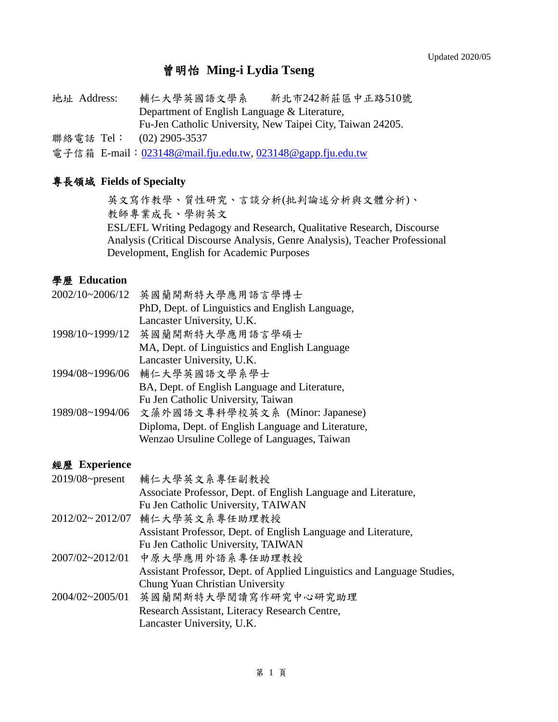## 曾明怡 **Ming-i Lydia Tseng**

地址 Address: 輔仁大學英國語文學系 新北市242新莊區中正路510號 Department of English Language & Literature, Fu-Jen Catholic University, New Taipei City, Taiwan 24205. 聯絡電話 Tel: (02) 2905-3537

電子信箱 E-mail: [023148@mail.fju.edu.tw,](mailto:023148@mail.fju.edu.tw) [023148@gapp.fju.edu.tw](mailto:023148@gapp.fju.edu.tw)

#### 專長領域 **Fields of Specialty**

英文寫作教學、質性研究、言談分析(批判論述分析與文體分析)、 教師專業成長、學術英文 ESL/EFL Writing Pedagogy and Research, Qualitative Research, Discourse Analysis (Critical Discourse Analysis, Genre Analysis), Teacher Professional Development, English for Academic Purposes

## 學歷 **Education**

| 2002/10~2006/12 | 英國蘭開斯特大學應用語言學博士                                    |
|-----------------|----------------------------------------------------|
|                 | PhD, Dept. of Linguistics and English Language,    |
|                 | Lancaster University, U.K.                         |
| 1998/10~1999/12 | 英國蘭開斯特大學應用語言學碩士                                    |
|                 | MA, Dept. of Linguistics and English Language      |
|                 | Lancaster University, U.K.                         |
| 1994/08~1996/06 | 輔仁大學英國語文學系學士                                       |
|                 | BA, Dept. of English Language and Literature,      |
|                 | Fu Jen Catholic University, Taiwan                 |
| 1989/08~1994/06 | 文藻外國語文專科學校英文系 (Minor: Japanese)                    |
|                 | Diploma, Dept. of English Language and Literature, |
|                 | Wenzao Ursuline College of Languages, Taiwan       |

#### 經歷 **Experience**

| $2019/08$ ~present        | 輔仁大學英文系專任副教授                                                            |
|---------------------------|-------------------------------------------------------------------------|
|                           | Associate Professor, Dept. of English Language and Literature,          |
|                           | Fu Jen Catholic University, TAIWAN                                      |
| $2012/02 \approx 2012/07$ | 輔仁大學英文系專任助理教授                                                           |
|                           | Assistant Professor, Dept. of English Language and Literature,          |
|                           | Fu Jen Catholic University, TAIWAN                                      |
| 2007/02~2012/01           | 中原大學應用外語系專任助理教授                                                         |
|                           | Assistant Professor, Dept. of Applied Linguistics and Language Studies, |
|                           | Chung Yuan Christian University                                         |
| 2004/02~2005/01           | 英國蘭開斯特大學閱讀寫作研究中心研究助理                                                    |
|                           | Research Assistant, Literacy Research Centre,                           |
|                           | Lancaster University, U.K.                                              |
|                           |                                                                         |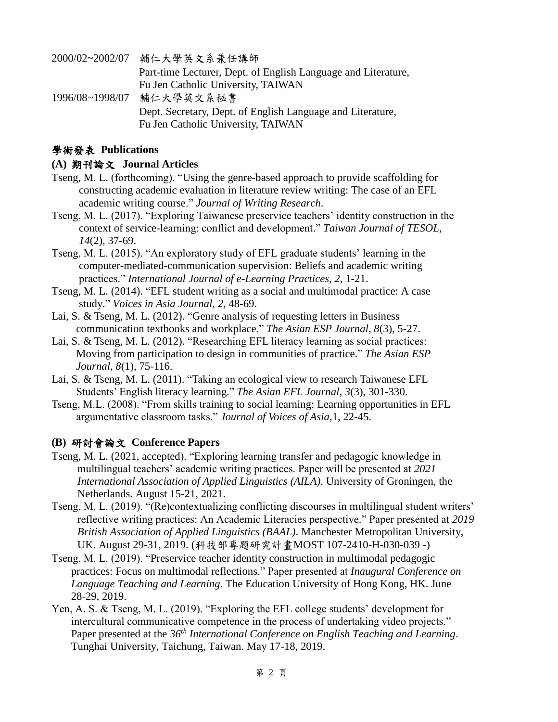| 2000/02~2002/07 | 輔仁大學英文系兼任講師                                                   |
|-----------------|---------------------------------------------------------------|
|                 | Part-time Lecturer, Dept. of English Language and Literature, |
|                 | Fu Jen Catholic University, TAIWAN                            |
| 1996/08~1998/07 | 輔仁大學英文系秘書                                                     |
|                 | Dept. Secretary, Dept. of English Language and Literature,    |
|                 | Fu Jen Catholic University, TAIWAN                            |

## 學術發表 **Publications**

#### **(A)** 期刊論文 **Journal Articles**

- Tseng, M. L. (forthcoming). "Using the genre-based approach to provide scaffolding for constructing academic evaluation in literature review writing: The case of an EFL academic writing course." *Journal of Writing Research*.
- Tseng, M. L. (2017). "Exploring Taiwanese preservice teachers' identity construction in the context of service-learning: conflict and development." *Taiwan Journal of TESOL, 14*(2), 37-69.
- Tseng, M. L. (2015). "An exploratory study of EFL graduate students' learning in the computer-mediated-communication supervision: Beliefs and academic writing practices." *International Journal of e-Learning Practices, 2*, 1-21.
- Tseng, M. L. (2014). "EFL student writing as a social and multimodal practice: A case study." *Voices in Asia Journal, 2*, 48-69.
- Lai, S. & Tseng, M. L. (2012). "Genre analysis of requesting letters in Business communication textbooks and workplace." *The Asian ESP Journal, 8*(3), 5-27.
- Lai, S. & Tseng, M. L. (2012). "Researching EFL literacy learning as social practices: Moving from participation to design in communities of practice." *The Asian ESP Journal, 8*(1), 75-116.
- Lai, S. & Tseng, M. L. (2011). "Taking an ecological view to research Taiwanese EFL Students' English literacy learning." *The Asian EFL Journal, 3*(3), 301-330.
- Tseng, M.L. (2008). "From skills training to social learning: Learning opportunities in EFL argumentative classroom tasks." *Journal of Voices of Asia,*1, 22-45.

## **(B)** 研討會論文 **Conference Papers**

- Tseng, M. L. (2021, accepted). "Exploring learning transfer and pedagogic knowledge in multilingual teachers' academic writing practices. Paper will be presented at *2021 International Association of Applied Linguistics (AILA)*. University of Groningen, the Netherlands. August 15-21, 2021.
- Tseng, M. L. (2019). "(Re)contextualizing conflicting discourses in multilingual student writers' reflective writing practices: An Academic Literacies perspective." Paper presented at *2019 British Association of Applied Linguistics (BAAL)*. Manchester Metropolitan University, UK. August 29-31, 2019. (科技部專題研究計畫MOST 107-2410-H-030-039 -)
- Tseng, M. L. (2019). "Preservice teacher identity construction in multimodal pedagogic practices: Focus on multimodal reflections." Paper presented at *Inaugural Conference on Language Teaching and Learning*. The Education University of Hong Kong, HK. June 28-29, 2019.
- Yen, A. S. & Tseng, M. L. (2019). "Exploring the EFL college students' development for intercultural communicative competence in the process of undertaking video projects." Paper presented at the *36th International Conference on English Teaching and Learning*. Tunghai University, Taichung, Taiwan. May 17-18, 2019.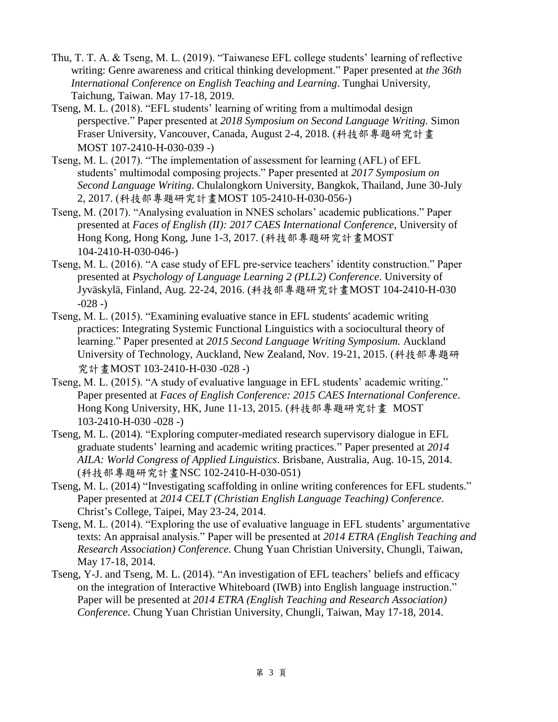- Thu, T. T. A. & Tseng, M. L. (2019). "Taiwanese EFL college students' learning of reflective writing: Genre awareness and critical thinking development." Paper presented at *the 36th International Conference on English Teaching and Learning*. Tunghai University, Taichung, Taiwan. May 17-18, 2019.
- Tseng, M. L. (2018). "EFL students' learning of writing from a multimodal design perspective." Paper presented at *2018 Symposium on Second Language Writing.* Simon Fraser University, Vancouver, Canada, August 2-4, 2018. (科技部專題研究計畫 MOST 107-2410-H-030-039 -)
- Tseng, M. L. (2017). "The implementation of assessment for learning (AFL) of EFL students' multimodal composing projects." Paper presented at *2017 Symposium on Second Language Writing*. Chulalongkorn University, Bangkok, Thailand, June 30-July 2, 2017. (科技部專題研究計畫MOST 105-2410-H-030-056-)
- Tseng, M. (2017). "Analysing evaluation in NNES scholars' academic publications." Paper presented at *Faces of English (II): 2017 CAES International Conference*, University of Hong Kong, Hong Kong, June 1-3, 2017. (科技部專題研究計畫MOST 104-2410-H-030-046-)
- Tseng, M. L. (2016). "A case study of EFL pre-service teachers' identity construction." Paper presented at *Psychology of Language Learning 2 (PLL2) Conference*. University of Jyväskylä, Finland, Aug. 22-24, 2016. (科技部專題研究計畫MOST 104-2410-H-030  $-028 -)$
- Tseng, M. L. (2015). "Examining evaluative stance in EFL students' academic writing practices: Integrating Systemic Functional Linguistics with a sociocultural theory of learning." Paper presented at *2015 Second Language Writing Symposium.* Auckland University of Technology, Auckland, New Zealand, Nov. 19-21, 2015. (科技部專題研 究計畫MOST 103-2410-H-030 -028 -)
- Tseng, M. L. (2015). "A study of evaluative language in EFL students' academic writing." Paper presented at *Faces of English Conference: 2015 CAES International Conference*. Hong Kong University, HK, June 11-13, 2015. (科技部專題研究計畫 MOST 103-2410-H-030 -028 -)
- Tseng, M. L. (2014). "Exploring computer-mediated research supervisory dialogue in EFL graduate students' learning and academic writing practices." Paper presented at *2014 AILA: World Congress of Applied Linguistics*. Brisbane, Australia, Aug. 10-15, 2014. (科技部專題研究計畫NSC 102-2410-H-030-051)
- Tseng, M. L. (2014) "Investigating scaffolding in online writing conferences for EFL students." Paper presented at *2014 CELT (Christian English Language Teaching) Conference*. Christ's College, Taipei, May 23-24, 2014.
- Tseng, M. L. (2014). "Exploring the use of evaluative language in EFL students' argumentative texts: An appraisal analysis." Paper will be presented at *2014 ETRA (English Teaching and Research Association) Conference.* Chung Yuan Christian University, Chungli, Taiwan, May 17-18, 2014.
- Tseng, Y-J. and Tseng, M. L. (2014). "An investigation of EFL teachers' beliefs and efficacy on the integration of Interactive Whiteboard (IWB) into English language instruction." Paper will be presented at *2014 ETRA (English Teaching and Research Association) Conference*. Chung Yuan Christian University, Chungli, Taiwan, May 17-18, 2014.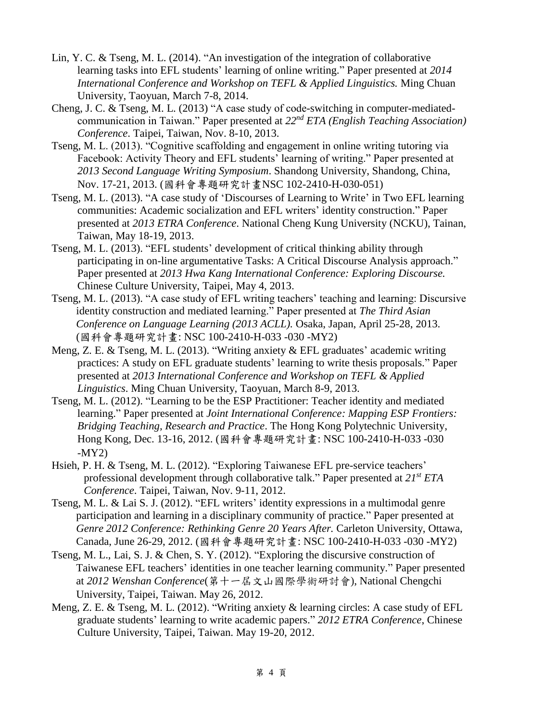- Lin, Y. C. & Tseng, M. L. (2014). "An investigation of the integration of collaborative learning tasks into EFL students' learning of online writing." Paper presented at *2014 International Conference and Workshop on TEFL & Applied Linguistics.* Ming Chuan University, Taoyuan, March 7-8, 2014.
- Cheng, J. C. & Tseng, M. L. (2013) "A case study of code-switching in computer-mediatedcommunication in Taiwan." Paper presented at *22nd ETA (English Teaching Association) Conference*. Taipei, Taiwan, Nov. 8-10, 2013.
- Tseng, M. L. (2013). "Cognitive scaffolding and engagement in online writing tutoring via Facebook: Activity Theory and EFL students' learning of writing." Paper presented at *2013 Second Language Writing Symposium*. Shandong University, Shandong, China, Nov. 17-21, 2013. (國科會專題研究計畫NSC 102-2410-H-030-051)
- Tseng, M. L. (2013). "A case study of 'Discourses of Learning to Write' in Two EFL learning communities: Academic socialization and EFL writers' identity construction." Paper presented at *2013 ETRA Conference*. National Cheng Kung University (NCKU), Tainan, Taiwan, May 18-19, 2013.
- Tseng, M. L. (2013). "EFL students' development of critical thinking ability through participating in on-line argumentative Tasks: A Critical Discourse Analysis approach." Paper presented at *2013 Hwa Kang International Conference: Exploring Discourse.* Chinese Culture University, Taipei, May 4, 2013.
- Tseng, M. L. (2013). "A case study of EFL writing teachers' teaching and learning: Discursive identity construction and mediated learning." Paper presented at *The Third Asian Conference on Language Learning (2013 ACLL).* Osaka, Japan, April 25-28, 2013. (國科會專題研究計畫: NSC 100-2410-H-033 -030 -MY2)
- Meng, Z. E. & Tseng, M. L. (2013). "Writing anxiety & EFL graduates' academic writing practices: A study on EFL graduate students' learning to write thesis proposals." Paper presented at *2013 International Conference and Workshop on TEFL & Applied Linguistics*. Ming Chuan University, Taoyuan, March 8-9, 2013.
- Tseng, M. L. (2012). "Learning to be the ESP Practitioner: Teacher identity and mediated learning." Paper presented at *Joint International Conference: Mapping ESP Frontiers: Bridging Teaching, Research and Practice*. The Hong Kong Polytechnic University, Hong Kong, Dec. 13-16, 2012. (國科會專題研究計畫: NSC 100-2410-H-033 -030  $-MY2$
- Hsieh, P. H. & Tseng, M. L. (2012). "Exploring Taiwanese EFL pre-service teachers' professional development through collaborative talk." Paper presented at *21st ETA Conference*. Taipei, Taiwan, Nov. 9-11, 2012.
- Tseng, M. L. & Lai S. J. (2012). "EFL writers' identity expressions in a multimodal genre participation and learning in a disciplinary community of practice." Paper presented at *Genre 2012 Conference: Rethinking Genre 20 Years After.* Carleton University, Ottawa, Canada, June 26-29, 2012. (國科會專題研究計畫: NSC 100-2410-H-033 -030 -MY2)
- Tseng, M. L., Lai, S. J. & Chen, S. Y. (2012). "Exploring the discursive construction of Taiwanese EFL teachers' identities in one teacher learning community." Paper presented at *2012 Wenshan Conference*(第十一屆文山國際學術研討會), National Chengchi University, Taipei, Taiwan. May 26, 2012.
- Meng, Z. E. & Tseng, M. L. (2012). "Writing anxiety & learning circles: A case study of EFL graduate students' learning to write academic papers." *2012 ETRA Conference*, Chinese Culture University, Taipei, Taiwan. May 19-20, 2012.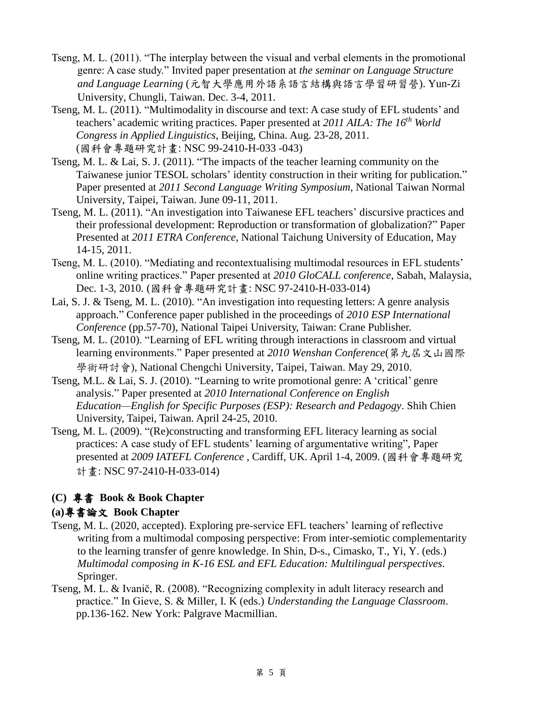- Tseng, M. L. (2011). "The interplay between the visual and verbal elements in the promotional genre: A case study." Invited paper presentation at *the seminar on Language Structure and Language Learning* (元智大學應用外語系語言結構與語言學習研習營). Yun-Zi University, Chungli, Taiwan. Dec. 3-4, 2011.
- Tseng, M. L. (2011). "Multimodality in discourse and text: A case study of EFL students' and teachers' academic writing practices. Paper presented at *2011 AILA: The 16th World Congress in Applied Linguistics*, Beijing, China. Aug. 23-28, 2011. (國科會專題研究計畫: NSC 99-2410-H-033 -043)
- Tseng, M. L. & Lai, S. J. (2011). "The impacts of the teacher learning community on the Taiwanese junior TESOL scholars' identity construction in their writing for publication." Paper presented at *2011 Second Language Writing Symposium*, National Taiwan Normal University, Taipei, Taiwan. June 09-11, 2011.
- Tseng, M. L. (2011). "An investigation into Taiwanese EFL teachers' discursive practices and their professional development: Reproduction or transformation of globalization?" Paper Presented at *2011 ETRA Conference*, National Taichung University of Education, May 14-15, 2011.
- Tseng, M. L. (2010). "Mediating and recontextualising multimodal resources in EFL students' online writing practices." Paper presented at *2010 GloCALL conference*, Sabah, Malaysia, Dec. 1-3, 2010. (國科會專題研究計畫: NSC 97-2410-H-033-014)
- Lai, S. J. & Tseng, M. L. (2010). "An investigation into requesting letters: A genre analysis approach." Conference paper published in the proceedings of *2010 ESP International Conference* (pp.57-70), National Taipei University, Taiwan: Crane Publisher.
- Tseng, M. L. (2010). "Learning of EFL writing through interactions in classroom and virtual learning environments." Paper presented at *2010 Wenshan Conference*(第九屆文山國際 學術研討會), National Chengchi University, Taipei, Taiwan. May 29, 2010.
- Tseng, M.L. & Lai, S. J. (2010). "Learning to write promotional genre: A 'critical' genre analysis." Paper presented at *2010 International Conference on English Education—English for Specific Purposes (ESP): Research and Pedagogy*. Shih Chien University, Taipei, Taiwan. April 24-25, 2010.
- Tseng, M. L. (2009). "(Re)constructing and transforming EFL literacy learning as social practices: A case study of EFL students' learning of argumentative writing", Paper presented at *2009 IATEFL Conference* , Cardiff, UK. April 1-4, 2009. (國科會專題研究 計畫: NSC 97-2410-H-033-014)

# **(C)** 專書 **Book & Book Chapter**

## **(a)**專書論文 **Book Chapter**

- Tseng, M. L. (2020, accepted). Exploring pre-service EFL teachers' learning of reflective writing from a multimodal composing perspective: From inter-semiotic complementarity to the learning transfer of genre knowledge. In Shin, D-s., Cimasko, T., Yi, Y. (eds.) *Multimodal composing in K-16 ESL and EFL Education: Multilingual perspectives*. Springer.
- Tseng, M. L. & Ivanič, R. (2008). "Recognizing complexity in adult literacy research and practice." In Gieve, S. & Miller, I. K (eds.) *Understanding the Language Classroom*. pp.136-162. New York: Palgrave Macmillian.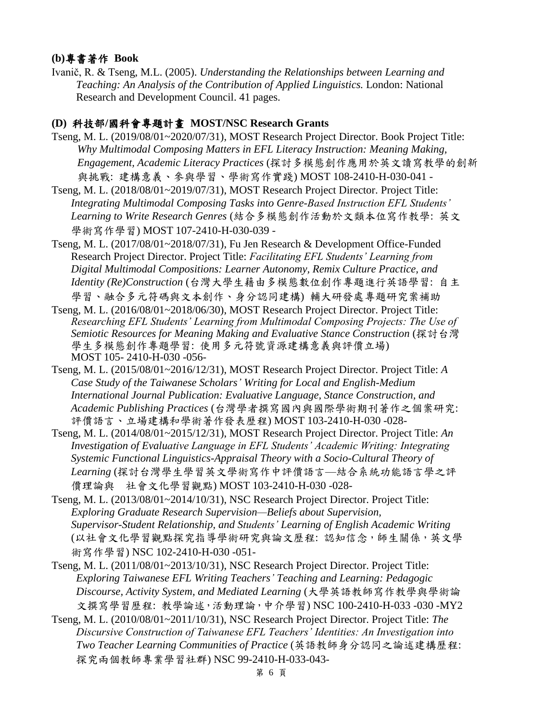#### **(b)**專書著作 **Book**

Ivanič, R. & Tseng, M.L. (2005). *Understanding the Relationships between Learning and Teaching: An Analysis of the Contribution of Applied Linguistics.* London: National Research and Development Council. 41 pages.

## **(D)** 科技部**/**國科會專題計畫 **MOST/NSC Research Grants**

- Tseng, M. L. (2019/08/01~2020/07/31), MOST Research Project Director. Book Project Title: *Why Multimodal Composing Matters in EFL Literacy Instruction: Meaning Making, Engagement, Academic Literacy Practices* (探討多模態創作應用於英文讀寫教學的創新 與挑戰: 建構意義、參與學習、學術寫作實踐) MOST 108-2410-H-030-041 -
- Tseng, M. L. (2018/08/01~2019/07/31), MOST Research Project Director. Project Title: *Integrating Multimodal Composing Tasks into Genre-Based Instruction EFL Students' Learning to Write Research Genres* (結合多模態創作活動於文類本位寫作教學: 英文 學術寫作學習) MOST 107-2410-H-030-039 -
- Tseng, M. L. (2017/08/01~2018/07/31), Fu Jen Research & Development Office-Funded Research Project Director. Project Title: *Facilitating EFL Students' Learning from Digital Multimodal Compositions: Learner Autonomy, Remix Culture Practice, and Identity (Re)Construction* (台灣大學生藉由多模態數位創作專題進行英語學習: 自主 學習、融合多元符碼與文本創作、身分認同建構) 輔大研發處專題研究案補助
- Tseng, M. L. (2016/08/01~2018/06/30), MOST Research Project Director. Project Title: *Researching EFL Students' Learning from Multimodal Composing Projects: The Use of Semiotic Resources for Meaning Making and Evaluative Stance Construction* (探討台灣 學生多模態創作專題學習: 使用多元符號資源建構意義與評價立場) MOST 105- 2410-H-030 -056-
- Tseng, M. L. (2015/08/01~2016/12/31), MOST Research Project Director. Project Title: *A Case Study of the Taiwanese Scholars' Writing for Local and English-Medium International Journal Publication: Evaluative Language, Stance Construction, and Academic Publishing Practices* (台灣學者撰寫國內與國際學術期刊著作之個案研究: 評價語言、立場建構和學術著作發表歷程) MOST 103-2410-H-030 -028-
- Tseng, M. L. (2014/08/01~2015/12/31), MOST Research Project Director. Project Title: *An Investigation of Evaluative Language in EFL Students' Academic Writing: Integrating Systemic Functional Linguistics-Appraisal Theory with a Socio-Cultural Theory of Learning* (探討台灣學生學習英文學術寫作中評價語言—結合系統功能語言學之評 價理論與 社會文化學習觀點) MOST 103-2410-H-030 -028-
- Tseng, M. L. (2013/08/01~2014/10/31), NSC Research Project Director. Project Title: *Exploring Graduate Research Supervision—Beliefs about Supervision, Supervisor-Student Relationship, and Students' Learning of English Academic Writing* (以社會文化學習觀點探究指導學術研究與論文歷程: 認知信念,師生關係,英文學 術寫作學習) NSC 102-2410-H-030 -051-
- Tseng, M. L. (2011/08/01~2013/10/31), NSC Research Project Director. Project Title: *Exploring Taiwanese EFL Writing Teachers' Teaching and Learning: Pedagogic Discourse, Activity System, and Mediated Learning* (大學英語教師寫作教學與學術論 文撰寫學習歷程: 教學論述,活動理論,中介學習) NSC 100-2410-H-033 -030 -MY2
- Tseng, M. L. (2010/08/01~2011/10/31), NSC Research Project Director. Project Title: *The Discursive Construction of Taiwanese EFL Teachers' Identities: An Investigation into Two Teacher Learning Communities of Practice* (英語教師身分認同之論述建構歷程: 探究兩個教師專業學習社群) NSC 99-2410-H-033-043-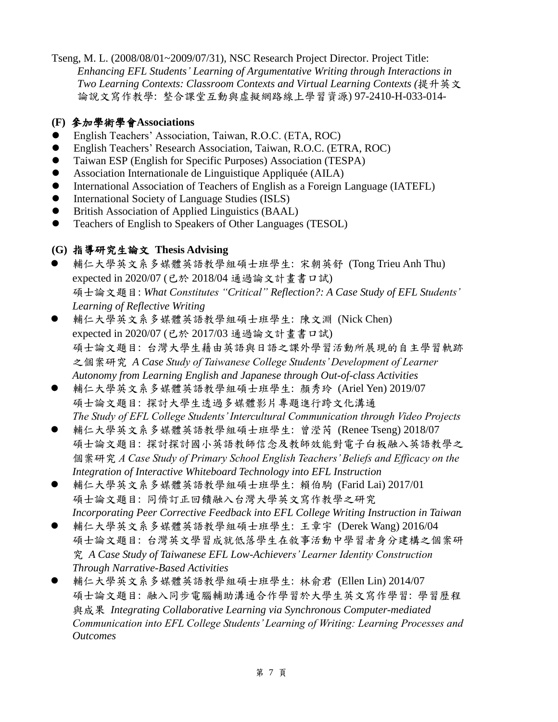Tseng, M. L. (2008/08/01~2009/07/31), NSC Research Project Director. Project Title: *Enhancing EFL Students' Learning of Argumentative Writing through Interactions in Two Learning Contexts: Classroom Contexts and Virtual Learning Contexts (*提升英文 論說文寫作教學: 整合課堂互動與虛擬網路線上學習資源) 97-2410-H-033-014-

## **(F)** 參加學術學會**Associations**

- English Teachers' Association, Taiwan, R.O.C. (ETA, ROC)
- English Teachers' Research Association, Taiwan, R.O.C. (ETRA, ROC)
- Taiwan ESP (English for Specific Purposes) Association (TESPA)
- Association Internationale de Linguistique Appliquée (AILA)
- International Association of Teachers of English as a Foreign Language (IATEFL)
- $\bullet$  International Society of Language Studies (ISLS)
- British Association of Applied Linguistics (BAAL)
- Teachers of English to Speakers of Other Languages (TESOL)

## **(G)** 指導研究生論文 **Thesis Advising**

- 輔仁大學英文系多媒體英語教學組碩士班學生: 宋朝英舒 (Tong Trieu Anh Thu) expected in 2020/07 (已於 2018/04 通過論文計畫書口試) 碩士論文題目: *What Constitutes "Critical" Reflection?: A Case Study of EFL Students' Learning of Reflective Writing*
- 輔仁大學英文系多媒體英語教學組碩士班學生: 陳文淵 (Nick Chen) expected in 2020/07 (已於 2017/03 通過論文計畫書口試) 碩士論文題目: 台灣大學生藉由英語與日語之課外學習活動所展現的自主學習軌跡 之個案研究 *A Case Study of Taiwanese College Students' Development of Learner Autonomy from Learning English and Japanese through Out-of-class Activities*
- 輔仁大學英文系多媒體英語教學組碩士班學生: 顏秀玲 (Ariel Yen) 2019/07 碩士論文題目: 探討大學生透過多媒體影片專題進行跨文化溝通 *The Study of EFL College Students' Intercultural Communication through Video Projects*
- 輔仁大學英文系多媒體英語教學組碩士班學生: 曾瀅芮 (Renee Tseng) 2018/07 碩士論文題目: 探討探討國小英語教師信念及教師效能對電子白板融入英語教學之 個案研究 *A Case Study of Primary School English Teachers' Beliefs and Efficacy on the Integration of Interactive Whiteboard Technology into EFL Instruction*
- 輔仁大學英文系多媒體英語教學組碩士班學生: 賴伯駒 (Farid Lai) 2017/01 碩士論文題目: 同儕訂正回饋融入台灣大學英文寫作教學之研究 *Incorporating Peer Corrective Feedback into EFL College Writing Instruction in Taiwan*
- 輔仁大學英文系多媒體英語教學組碩士班學生: 王章宇 (Derek Wang) 2016/04 碩士論文題目: 台灣英文學習成就低落學生在敘事活動中學習者身分建構之個案研 究 *A Case Study of Taiwanese EFL Low-Achievers' Learner Identity Construction Through Narrative-Based Activities*
- 輔仁大學英文系多媒體英語教學組碩士班學生: 林俞君 (Ellen Lin) 2014/07 碩士論文題目: 融入同步電腦輔助溝通合作學習於大學生英文寫作學習: 學習歷程 與成果 *Integrating Collaborative Learning via Synchronous Computer-mediated Communication into EFL College Students' Learning of Writing: Learning Processes and Outcomes*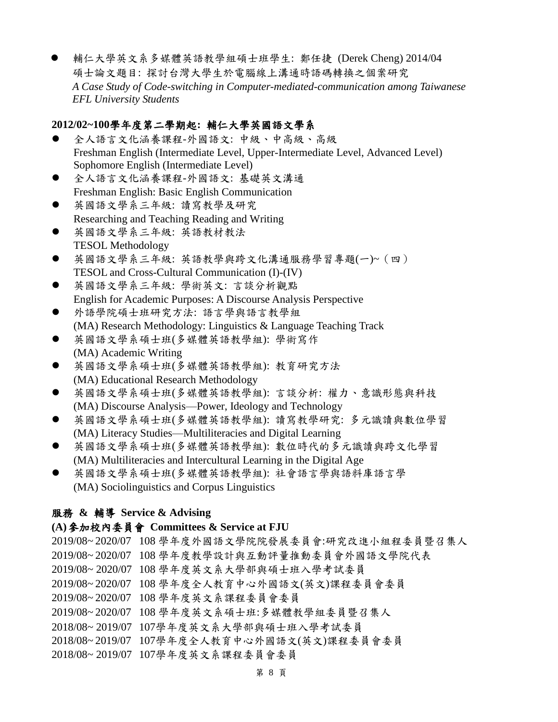輔仁大學英文系多媒體英語教學組碩士班學生: 鄭任捷 (Derek Cheng) 2014/04 碩士論文題目: 探討台灣大學生於電腦線上溝通時語碼轉換之個案研究 *A Case Study of Code-switching in Computer-mediated-communication among Taiwanese EFL University Students*

## **2012/02~100**學年度第二學期起**:** 輔仁大學英國語文學系

- 全人語言文化涵養課程-外國語文: 中級、中高級、高級 Freshman English (Intermediate Level, Upper-Intermediate Level, Advanced Level) Sophomore English (Intermediate Level)
- 全人語言文化涵養課程-外國語文: 基礎英文溝通 Freshman English: Basic English Communication
- 英國語文學系三年級: 讀寫教學及研究 Researching and Teaching Reading and Writing
- 英國語文學系三年級: 英語教材教法 TESOL Methodology
- 英國語文學系三年級: 英語教學與跨文化溝通服務學習專題(一)~(四) TESOL and Cross-Cultural Communication (I)-(IV)
- 英國語文學系三年級: 學術英文: 言談分析觀點 English for Academic Purposes: A Discourse Analysis Perspective
- 外語學院碩士班研究方法: 語言學與語言教學組 (MA) Research Methodology: Linguistics & Language Teaching Track
- 英國語文學系碩士班(多媒體英語教學組): 學術寫作 (MA) Academic Writing
- 英國語文學系碩士班(多媒體英語教學組): 教育研究方法 (MA) Educational Research Methodology
- 英國語文學系碩士班(多媒體英語教學組): 言談分析: 權力、意識形態與科技 (MA) Discourse Analysis—Power, Ideology and Technology
- 英國語文學系碩士班(多媒體英語教學組): 讀寫教學研究: 多元識讀與數位學習 (MA) Literacy Studies—Multiliteracies and Digital Learning
- 英國語文學系碩士班(多媒體英語教學組): 數位時代的多元識讀與跨文化學習 (MA) Multiliteracies and Intercultural Learning in the Digital Age
- 英國語文學系碩士班(多媒體英語教學組): 社會語言學與語料庫語言學 (MA) Sociolinguistics and Corpus Linguistics

## 服務 **&** 輔導 **Service & Advising**

## **(A)**參加校內委員會 **Committees & Service at FJU**

- 2019/08~ 2020/07 108 學年度外國語文學院院發展委員會:研究改進小組程委員暨召集人
- 2019/08~ 2020/07 108 學年度教學設計與互動評量推動委員會外國語文學院代表
- 2019/08~ 2020/07 108 學年度英文系大學部與碩士班入學考試委員
- 2019/08~ 2020/07 108 學年度全人教育中心外國語文(英文)課程委員會委員
- 2019/08~ 2020/07 108 學年度英文系課程委員會委員
- 2019/08~ 2020/07 108 學年度英文系碩士班:多媒體教學組委員暨召集人
- 2018/08~ 2019/07 107學年度英文系大學部與碩士班入學考試委員
- 2018/08~ 2019/07 107學年度全人教育中心外國語文(英文)課程委員會委員
- 2018/08~ 2019/07 107學年度英文系課程委員會委員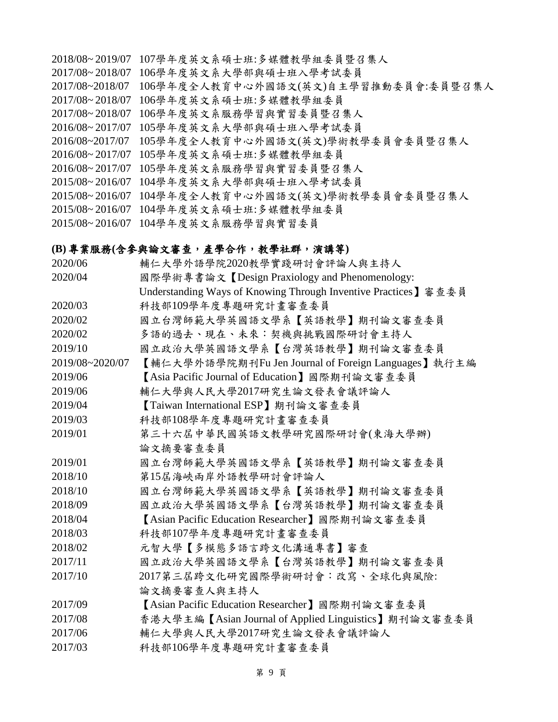- 2018/08~ 2019/07 107學年度英文系碩士班:多媒體教學組委員暨召集人
- 2017/08~ 2018/07 106學年度英文系大學部與碩士班入學考試委員
- 2017/08~2018/07 106學年度全人教育中心外國語文(英文)自主學習推動委員會:委員暨召集人
- 2017/08~ 2018/07 106學年度英文系碩士班:多媒體教學組委員
- 2017/08~ 2018/07 106學年度英文系服務學習與實習委員暨召集人
- 2016/08~ 2017/07 105學年度英文系大學部與碩士班入學考試委員
- 2016/08~2017/07 105學年度全人教育中心外國語文(英文)學術教學委員會委員暨召集人
- 2016/08~ 2017/07 105學年度英文系碩士班:多媒體教學組委員
- 2016/08~ 2017/07 105學年度英文系服務學習與實習委員暨召集人
- 2015/08~ 2016/07 104學年度英文系大學部與碩士班入學考試委員
- 2015/08~ 2016/07 104學年度全人教育中心外國語文(英文)學術教學委員會委員暨召集人
- 2015/08~ 2016/07 104學年度英文系碩士班:多媒體教學組委員

2015/08~ 2016/07 104學年度英文系服務學習與實習委員

#### **(B)** 專業服務**(**含參與論文審查,產學合作,教學社群,演講等**)**

| 2020/06         | 輔仁大學外語學院2020教學實踐研討會評論人與主持人                                     |
|-----------------|----------------------------------------------------------------|
| 2020/04         | 國際學術專書論文【Design Praxiology and Phenomenology:                  |
|                 | Understanding Ways of Knowing Through Inventive Practices】審查委員 |
| 2020/03         | 科技部109學年度專題研究計畫審查委員                                            |
| 2020/02         | 國立台灣師範大學英國語文學系【英語教學】期刊論文審查委員                                   |
| 2020/02         | 多語的過去、現在、未來:契機與挑戰國際研討會主持人                                      |
| 2019/10         | 國立政治大學英國語文學系【台灣英語教學】期刊論文審查委員                                   |
| 2019/08~2020/07 | 【輔仁大學外語學院期刊Fu Jen Journal of Foreign Languages】執行主編            |
| 2019/06         | 【Asia Pacific Journal of Education】國際期刊論文審查委員                  |
| 2019/06         | 輔仁大學與人民大學2017研究生論文發表會議評論人                                      |
| 2019/04         | 【Taiwan International ESP】期刊論文審查委員                             |
| 2019/03         | 科技部108學年度專題研究計畫審查委員                                            |
| 2019/01         | 第三十六屆中華民國英語文教學研究國際研討會(東海大學辦)                                   |
|                 | 論文摘要審查委員                                                       |
| 2019/01         | 國立台灣師範大學英國語文學系【英語教學】期刊論文審查委員                                   |
| 2018/10         | 第15屆海峽兩岸外語教學研討會評論人                                             |
| 2018/10         | 國立台灣師範大學英國語文學系【英語教學】期刊論文審查委員                                   |
| 2018/09         | 國立政治大學英國語文學系【台灣英語教學】期刊論文審查委員                                   |
| 2018/04         | 【Asian Pacific Education Researcher】國際期刊論文審查委員                 |
| 2018/03         | 科技部107學年度專題研究計畫審查委員                                            |
| 2018/02         | 元智大學【多模態多語言跨文化溝通專書】審查                                          |
| 2017/11         | 國立政治大學英國語文學系【台灣英語教學】期刊論文審查委員                                   |
| 2017/10         | 2017第三屆跨文化研究國際學術研討會:改寫、全球化與風險:                                 |
|                 | 論文摘要審查人與主持人                                                    |
| 2017/09         | 【Asian Pacific Education Researcher】國際期刊論文審查委員                 |
| 2017/08         | 香港大學主編【Asian Journal of Applied Linguistics】期刊論文審查委員           |
| 2017/06         | 輔仁大學與人民大學2017研究生論文發表會議評論人                                      |
| 2017/03         | 科技部106學年度專題研究計畫審查委員                                            |
|                 |                                                                |